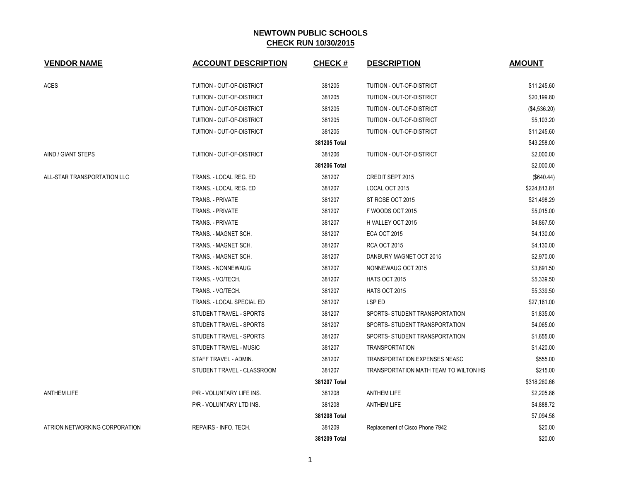| <b>VENDOR NAME</b>            | <b>ACCOUNT DESCRIPTION</b> | <b>CHECK#</b> | <b>DESCRIPTION</b>                    | <b>AMOUNT</b> |
|-------------------------------|----------------------------|---------------|---------------------------------------|---------------|
| ACES                          | TUITION - OUT-OF-DISTRICT  | 381205        | TUITION - OUT-OF-DISTRICT             | \$11,245.60   |
|                               | TUITION - OUT-OF-DISTRICT  | 381205        | TUITION - OUT-OF-DISTRICT             | \$20,199.80   |
|                               | TUITION - OUT-OF-DISTRICT  | 381205        | TUITION - OUT-OF-DISTRICT             | (\$4,536.20)  |
|                               | TUITION - OUT-OF-DISTRICT  | 381205        | TUITION - OUT-OF-DISTRICT             | \$5,103.20    |
|                               | TUITION - OUT-OF-DISTRICT  | 381205        | TUITION - OUT-OF-DISTRICT             | \$11,245.60   |
|                               |                            | 381205 Total  |                                       | \$43,258.00   |
| AIND / GIANT STEPS            | TUITION - OUT-OF-DISTRICT  | 381206        | TUITION - OUT-OF-DISTRICT             | \$2,000.00    |
|                               |                            | 381206 Total  |                                       | \$2,000.00    |
| ALL-STAR TRANSPORTATION LLC   | TRANS. - LOCAL REG. ED     | 381207        | CREDIT SEPT 2015                      | (\$640.44)    |
|                               | TRANS. - LOCAL REG. ED     | 381207        | LOCAL OCT 2015                        | \$224,813.81  |
|                               | <b>TRANS. - PRIVATE</b>    | 381207        | ST ROSE OCT 2015                      | \$21,498.29   |
|                               | TRANS. - PRIVATE           | 381207        | F WOODS OCT 2015                      | \$5,015.00    |
|                               | <b>TRANS. - PRIVATE</b>    | 381207        | H VALLEY OCT 2015                     | \$4,867.50    |
|                               | TRANS. - MAGNET SCH.       | 381207        | <b>ECA OCT 2015</b>                   | \$4,130.00    |
|                               | TRANS. - MAGNET SCH.       | 381207        | <b>RCA OCT 2015</b>                   | \$4,130.00    |
|                               | TRANS. - MAGNET SCH.       | 381207        | DANBURY MAGNET OCT 2015               | \$2,970.00    |
|                               | TRANS. - NONNEWAUG         | 381207        | NONNEWAUG OCT 2015                    | \$3,891.50    |
|                               | TRANS. - VO/TECH.          | 381207        | <b>HATS OCT 2015</b>                  | \$5,339.50    |
|                               | TRANS. - VO/TECH.          | 381207        | HATS OCT 2015                         | \$5,339.50    |
|                               | TRANS. - LOCAL SPECIAL ED  | 381207        | LSP ED                                | \$27,161.00   |
|                               | STUDENT TRAVEL - SPORTS    | 381207        | SPORTS- STUDENT TRANSPORTATION        | \$1,835.00    |
|                               | STUDENT TRAVEL - SPORTS    | 381207        | SPORTS- STUDENT TRANSPORTATION        | \$4,065.00    |
|                               | STUDENT TRAVEL - SPORTS    | 381207        | SPORTS-STUDENT TRANSPORTATION         | \$1,655.00    |
|                               | STUDENT TRAVEL - MUSIC     | 381207        | <b>TRANSPORTATION</b>                 | \$1,420.00    |
|                               | STAFF TRAVEL - ADMIN.      | 381207        | TRANSPORTATION EXPENSES NEASC         | \$555.00      |
|                               | STUDENT TRAVEL - CLASSROOM | 381207        | TRANSPORTATION MATH TEAM TO WILTON HS | \$215.00      |
|                               |                            | 381207 Total  |                                       | \$318,260.66  |
| <b>ANTHEM LIFE</b>            | P/R - VOLUNTARY LIFE INS.  | 381208        | <b>ANTHEM LIFE</b>                    | \$2,205.86    |
|                               | P/R - VOLUNTARY LTD INS.   | 381208        | <b>ANTHEM LIFE</b>                    | \$4,888.72    |
|                               |                            | 381208 Total  |                                       | \$7,094.58    |
| ATRION NETWORKING CORPORATION | REPAIRS - INFO. TECH.      | 381209        | Replacement of Cisco Phone 7942       | \$20.00       |
|                               |                            | 381209 Total  |                                       | \$20.00       |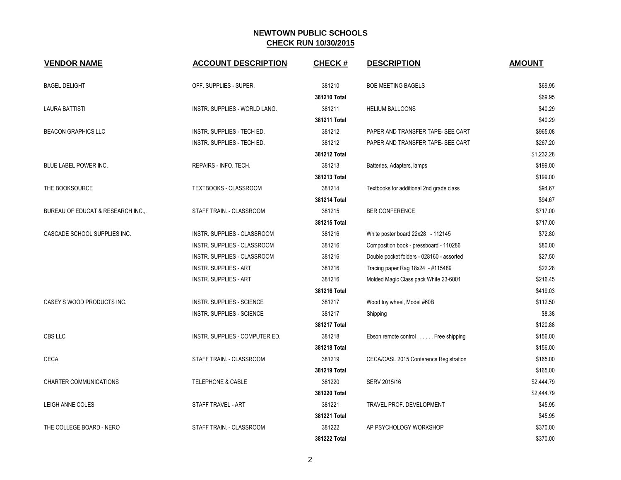| <b>VENDOR NAME</b>                 | <b>ACCOUNT DESCRIPTION</b>         | <b>CHECK#</b> | <b>DESCRIPTION</b>                        | <b>AMOUNT</b> |
|------------------------------------|------------------------------------|---------------|-------------------------------------------|---------------|
| <b>BAGEL DELIGHT</b>               | OFF. SUPPLIES - SUPER.             | 381210        | <b>BOE MEETING BAGELS</b>                 | \$69.95       |
|                                    |                                    | 381210 Total  |                                           | \$69.95       |
| LAURA BATTISTI                     | INSTR. SUPPLIES - WORLD LANG.      | 381211        | <b>HELIUM BALLOONS</b>                    | \$40.29       |
|                                    |                                    | 381211 Total  |                                           | \$40.29       |
| <b>BEACON GRAPHICS LLC</b>         | INSTR. SUPPLIES - TECH ED.         | 381212        | PAPER AND TRANSFER TAPE- SEE CART         | \$965.08      |
|                                    | INSTR. SUPPLIES - TECH ED.         | 381212        | PAPER AND TRANSFER TAPE- SEE CART         | \$267.20      |
|                                    |                                    | 381212 Total  |                                           | \$1,232.28    |
| BLUE LABEL POWER INC.              | REPAIRS - INFO. TECH.              | 381213        | Batteries, Adapters, lamps                | \$199.00      |
|                                    |                                    | 381213 Total  |                                           | \$199.00      |
| THE BOOKSOURCE                     | <b>TEXTBOOKS - CLASSROOM</b>       | 381214        | Textbooks for additional 2nd grade class  | \$94.67       |
|                                    |                                    | 381214 Total  |                                           | \$94.67       |
| BUREAU OF EDUCAT & RESEARCH INC.,. | STAFF TRAIN. - CLASSROOM           | 381215        | <b>BER CONFERENCE</b>                     | \$717.00      |
|                                    |                                    | 381215 Total  |                                           | \$717.00      |
| CASCADE SCHOOL SUPPLIES INC.       | <b>INSTR. SUPPLIES - CLASSROOM</b> | 381216        | White poster board 22x28 - 112145         | \$72.80       |
|                                    | INSTR. SUPPLIES - CLASSROOM        | 381216        | Composition book - pressboard - 110286    | \$80.00       |
|                                    | INSTR. SUPPLIES - CLASSROOM        | 381216        | Double pocket folders - 028160 - assorted | \$27.50       |
|                                    | <b>INSTR. SUPPLIES - ART</b>       | 381216        | Tracing paper Rag 18x24 - #115489         | \$22.28       |
|                                    | <b>INSTR. SUPPLIES - ART</b>       | 381216        | Molded Magic Class pack White 23-6001     | \$216.45      |
|                                    |                                    | 381216 Total  |                                           | \$419.03      |
| CASEY'S WOOD PRODUCTS INC.         | INSTR. SUPPLIES - SCIENCE          | 381217        | Wood toy wheel, Model #60B                | \$112.50      |
|                                    | INSTR. SUPPLIES - SCIENCE          | 381217        | Shipping                                  | \$8.38        |
|                                    |                                    | 381217 Total  |                                           | \$120.88      |
| <b>CBS LLC</b>                     | INSTR. SUPPLIES - COMPUTER ED.     | 381218        | Ebson remote control Free shipping        | \$156.00      |
|                                    |                                    | 381218 Total  |                                           | \$156.00      |
| <b>CECA</b>                        | STAFF TRAIN. - CLASSROOM           | 381219        | CECA/CASL 2015 Conference Registration    | \$165.00      |
|                                    |                                    | 381219 Total  |                                           | \$165.00      |
| CHARTER COMMUNICATIONS             | TELEPHONE & CABLE                  | 381220        | SERV 2015/16                              | \$2,444.79    |
|                                    |                                    | 381220 Total  |                                           | \$2,444.79    |
| LEIGH ANNE COLES                   | STAFF TRAVEL - ART                 | 381221        | TRAVEL PROF. DEVELOPMENT                  | \$45.95       |
|                                    |                                    | 381221 Total  |                                           | \$45.95       |
| THE COLLEGE BOARD - NERO           | STAFF TRAIN. - CLASSROOM           | 381222        | AP PSYCHOLOGY WORKSHOP                    | \$370.00      |
|                                    |                                    | 381222 Total  |                                           | \$370.00      |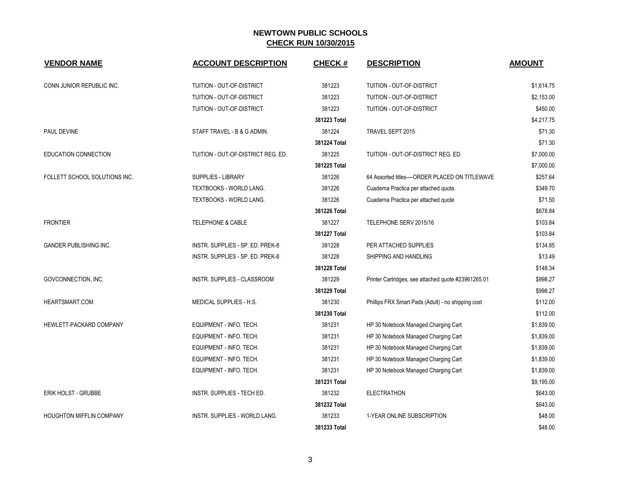| <b>VENDOR NAME</b>            | <b>ACCOUNT DESCRIPTION</b>         | <b>CHECK#</b> | <b>DESCRIPTION</b>                                  | <b>AMOUNT</b> |
|-------------------------------|------------------------------------|---------------|-----------------------------------------------------|---------------|
| CONN JUNIOR REPUBLIC INC.     | TUITION - OUT-OF-DISTRICT          | 381223        | TUITION - OUT-OF-DISTRICT                           | \$1,614.75    |
|                               | TUITION - OUT-OF-DISTRICT          | 381223        | TUITION - OUT-OF-DISTRICT                           | \$2,153.00    |
|                               | TUITION - OUT-OF-DISTRICT          | 381223        | TUITION - OUT-OF-DISTRICT                           | \$450.00      |
|                               |                                    | 381223 Total  |                                                     | \$4,217.75    |
| PAUL DEVINE                   | STAFF TRAVEL - B & G ADMIN.        | 381224        | TRAVEL SEPT 2015                                    | \$71.30       |
|                               |                                    | 381224 Total  |                                                     | \$71.30       |
| EDUCATION CONNECTION          | TUITION - OUT-OF-DISTRICT REG. ED. | 381225        | TUITION - OUT-OF-DISTRICT REG. ED.                  | \$7,000.00    |
|                               |                                    | 381225 Total  |                                                     | \$7,000.00    |
| FOLLETT SCHOOL SOLUTIONS INC. | <b>SUPPLIES - LIBRARY</b>          | 381226        | 64 Assorted titles----ORDER PLACED ON TITLEWAVE     | \$257.64      |
|                               | TEXTBOOKS - WORLD LANG.            | 381226        | Cuaderna Practica per attached quote.               | \$349.70      |
|                               | TEXTBOOKS - WORLD LANG.            | 381226        | Cuaderna Practica per attached quote                | \$71.50       |
|                               |                                    | 381226 Total  |                                                     | \$678.84      |
| <b>FRONTIER</b>               | <b>TELEPHONE &amp; CABLE</b>       | 381227        | TELEPHONE SERV 2015/16                              | \$103.84      |
|                               |                                    | 381227 Total  |                                                     | \$103.84      |
| <b>GANDER PUBLISHING INC.</b> | INSTR. SUPPLIES - SP. ED. PREK-8   | 381228        | PER ATTACHED SUPPLIES                               | \$134.85      |
|                               | INSTR. SUPPLIES - SP. ED. PREK-8   | 381228        | SHIPPING AND HANDLING                               | \$13.49       |
|                               |                                    | 381228 Total  |                                                     | \$148.34      |
| GOVCONNECTION, INC.           | INSTR. SUPPLIES - CLASSROOM        | 381229        | Printer Cartridges, see attached quote #23961265.01 | \$998.27      |
|                               |                                    | 381229 Total  |                                                     | \$998.27      |
| HEARTSMART.COM                | MEDICAL SUPPLIES - H.S.            | 381230        | Phillips FRX Smart Pads (Adult) - no shipping cost  | \$112.00      |
|                               |                                    | 381230 Total  |                                                     | \$112.00      |
| HEWLETT-PACKARD COMPANY       | EQUIPMENT - INFO. TECH.            | 381231        | HP 30 Notebook Managed Charging Cart                | \$1,839.00    |
|                               | EQUIPMENT - INFO. TECH.            | 381231        | HP 30 Notebook Managed Charging Cart                | \$1,839.00    |
|                               | EQUIPMENT - INFO. TECH.            | 381231        | HP 30 Notebook Managed Charging Cart                | \$1,839.00    |
|                               | EQUIPMENT - INFO. TECH.            | 381231        | HP 30 Notebook Managed Charging Cart                | \$1,839.00    |
|                               | EQUIPMENT - INFO. TECH.            | 381231        | HP 30 Notebook Managed Charging Cart                | \$1,839.00    |
|                               |                                    | 381231 Total  |                                                     | \$9,195.00    |
| <b>ERIK HOLST - GRUBBE</b>    | INSTR. SUPPLIES - TECH ED.         | 381232        | <b>ELECTRATHON</b>                                  | \$643.00      |
|                               |                                    | 381232 Total  |                                                     | \$643.00      |
| HOUGHTON MIFFLIN COMPANY      | INSTR. SUPPLIES - WORLD LANG.      | 381233        | 1-YEAR ONLINE SUBSCRIPTION                          | \$48.00       |
|                               |                                    | 381233 Total  |                                                     | \$48.00       |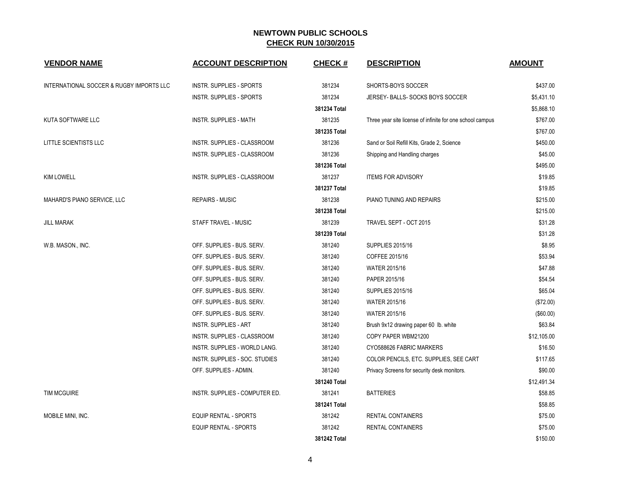| <b>VENDOR NAME</b>                       | <b>ACCOUNT DESCRIPTION</b>      | <b>CHECK#</b> | <b>DESCRIPTION</b>                                        | <b>AMOUNT</b> |
|------------------------------------------|---------------------------------|---------------|-----------------------------------------------------------|---------------|
| INTERNATIONAL SOCCER & RUGBY IMPORTS LLC | <b>INSTR. SUPPLIES - SPORTS</b> | 381234        | SHORTS-BOYS SOCCER                                        | \$437.00      |
|                                          | INSTR. SUPPLIES - SPORTS        | 381234        | JERSEY- BALLS- SOCKS BOYS SOCCER                          | \$5,431.10    |
|                                          |                                 | 381234 Total  |                                                           | \$5,868.10    |
| KUTA SOFTWARE LLC                        | <b>INSTR. SUPPLIES - MATH</b>   | 381235        | Three year site license of infinite for one school campus | \$767.00      |
|                                          |                                 | 381235 Total  |                                                           | \$767.00      |
| <b>LITTLE SCIENTISTS LLC</b>             | INSTR. SUPPLIES - CLASSROOM     | 381236        | Sand or Soil Refill Kits, Grade 2, Science                | \$450.00      |
|                                          | INSTR. SUPPLIES - CLASSROOM     | 381236        | Shipping and Handling charges                             | \$45.00       |
|                                          |                                 | 381236 Total  |                                                           | \$495.00      |
| <b>KIM LOWELL</b>                        | INSTR. SUPPLIES - CLASSROOM     | 381237        | <b>ITEMS FOR ADVISORY</b>                                 | \$19.85       |
|                                          |                                 | 381237 Total  |                                                           | \$19.85       |
| <b>MAHARD'S PIANO SERVICE, LLC</b>       | <b>REPAIRS - MUSIC</b>          | 381238        | PIANO TUNING AND REPAIRS                                  | \$215.00      |
|                                          |                                 | 381238 Total  |                                                           | \$215.00      |
| <b>JILL MARAK</b>                        | STAFF TRAVEL - MUSIC            | 381239        | TRAVEL SEPT - OCT 2015                                    | \$31.28       |
|                                          |                                 | 381239 Total  |                                                           | \$31.28       |
| W.B. MASON., INC.                        | OFF. SUPPLIES - BUS. SERV.      | 381240        | <b>SUPPLIES 2015/16</b>                                   | \$8.95        |
|                                          | OFF. SUPPLIES - BUS. SERV.      | 381240        | COFFEE 2015/16                                            | \$53.94       |
|                                          | OFF. SUPPLIES - BUS. SERV.      | 381240        | WATER 2015/16                                             | \$47.88       |
|                                          | OFF. SUPPLIES - BUS. SERV.      | 381240        | PAPER 2015/16                                             | \$54.54       |
|                                          | OFF. SUPPLIES - BUS. SERV.      | 381240        | <b>SUPPLIES 2015/16</b>                                   | \$65.04       |
|                                          | OFF. SUPPLIES - BUS. SERV.      | 381240        | WATER 2015/16                                             | (\$72.00)     |
|                                          | OFF. SUPPLIES - BUS. SERV.      | 381240        | WATER 2015/16                                             | (\$60.00)     |
|                                          | INSTR. SUPPLIES - ART           | 381240        | Brush 9x12 drawing paper 60 lb. white                     | \$63.84       |
|                                          | INSTR. SUPPLIES - CLASSROOM     | 381240        | COPY PAPER WBM21200                                       | \$12,105.00   |
|                                          | INSTR. SUPPLIES - WORLD LANG.   | 381240        | CYO588626 FABRIC MARKERS                                  | \$16.50       |
|                                          | INSTR. SUPPLIES - SOC. STUDIES  | 381240        | COLOR PENCILS, ETC. SUPPLIES, SEE CART                    | \$117.65      |
|                                          | OFF. SUPPLIES - ADMIN.          | 381240        | Privacy Screens for security desk monitors.               | \$90.00       |
|                                          |                                 | 381240 Total  |                                                           | \$12,491.34   |
| <b>TIM MCGUIRE</b>                       | INSTR. SUPPLIES - COMPUTER ED.  | 381241        | <b>BATTERIES</b>                                          | \$58.85       |
|                                          |                                 | 381241 Total  |                                                           | \$58.85       |
| MOBILE MINI, INC.                        | <b>EQUIP RENTAL - SPORTS</b>    | 381242        | <b>RENTAL CONTAINERS</b>                                  | \$75.00       |
|                                          | <b>EQUIP RENTAL - SPORTS</b>    | 381242        | <b>RENTAL CONTAINERS</b>                                  | \$75.00       |
|                                          |                                 | 381242 Total  |                                                           | \$150.00      |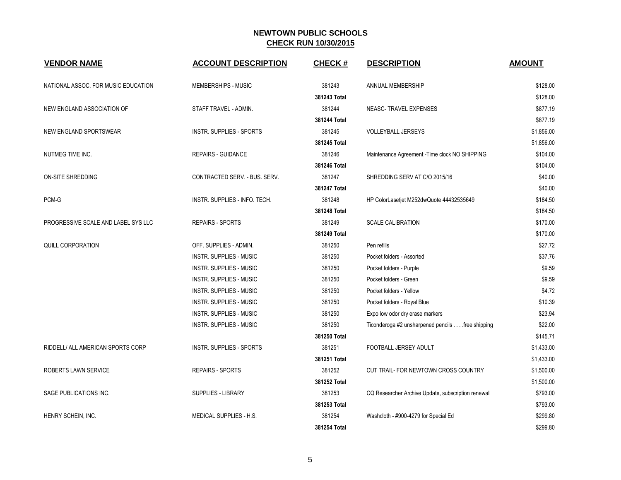| <b>VENDOR NAME</b>                  | <b>ACCOUNT DESCRIPTION</b>      | <b>CHECK#</b> | <b>DESCRIPTION</b>                                 | <b>AMOUNT</b> |
|-------------------------------------|---------------------------------|---------------|----------------------------------------------------|---------------|
| NATIONAL ASSOC. FOR MUSIC EDUCATION | MEMBERSHIPS - MUSIC             | 381243        | ANNUAL MEMBERSHIP                                  | \$128.00      |
|                                     |                                 | 381243 Total  |                                                    | \$128.00      |
| NEW ENGLAND ASSOCIATION OF          | STAFF TRAVEL - ADMIN.           | 381244        | NEASC-TRAVEL EXPENSES                              | \$877.19      |
|                                     |                                 | 381244 Total  |                                                    | \$877.19      |
| NEW ENGLAND SPORTSWEAR              | <b>INSTR. SUPPLIES - SPORTS</b> | 381245        | VOLLEYBALL JERSEYS                                 | \$1,856.00    |
|                                     |                                 | 381245 Total  |                                                    | \$1,856.00    |
| NUTMEG TIME INC.                    | <b>REPAIRS - GUIDANCE</b>       | 381246        | Maintenance Agreement - Time clock NO SHIPPING     | \$104.00      |
|                                     |                                 | 381246 Total  |                                                    | \$104.00      |
| ON-SITE SHREDDING                   | CONTRACTED SERV. - BUS. SERV.   | 381247        | SHREDDING SERV AT C/O 2015/16                      | \$40.00       |
|                                     |                                 | 381247 Total  |                                                    | \$40.00       |
| PCM-G                               | INSTR. SUPPLIES - INFO. TECH.   | 381248        | HP ColorLasetjet M252dwQuote 44432535649           | \$184.50      |
|                                     |                                 | 381248 Total  |                                                    | \$184.50      |
| PROGRESSIVE SCALE AND LABEL SYS LLC | <b>REPAIRS - SPORTS</b>         | 381249        | <b>SCALE CALIBRATION</b>                           | \$170.00      |
|                                     |                                 | 381249 Total  |                                                    | \$170.00      |
| QUILL CORPORATION                   | OFF. SUPPLIES - ADMIN.          | 381250        | Pen refills                                        | \$27.72       |
|                                     | <b>INSTR. SUPPLIES - MUSIC</b>  | 381250        | Pocket folders - Assorted                          | \$37.76       |
|                                     | <b>INSTR. SUPPLIES - MUSIC</b>  | 381250        | Pocket folders - Purple                            | \$9.59        |
|                                     | <b>INSTR. SUPPLIES - MUSIC</b>  | 381250        | Pocket folders - Green                             | \$9.59        |
|                                     | <b>INSTR. SUPPLIES - MUSIC</b>  | 381250        | Pocket folders - Yellow                            | \$4.72        |
|                                     | <b>INSTR. SUPPLIES - MUSIC</b>  | 381250        | Pocket folders - Royal Blue                        | \$10.39       |
|                                     | INSTR. SUPPLIES - MUSIC         | 381250        | Expo low odor dry erase markers                    | \$23.94       |
|                                     | <b>INSTR. SUPPLIES - MUSIC</b>  | 381250        | Ticonderoga #2 unsharpened pencils free shipping   | \$22.00       |
|                                     |                                 | 381250 Total  |                                                    | \$145.71      |
| RIDDELL/ ALL AMERICAN SPORTS CORP   | <b>INSTR. SUPPLIES - SPORTS</b> | 381251        | FOOTBALL JERSEY ADULT                              | \$1,433.00    |
|                                     |                                 | 381251 Total  |                                                    | \$1,433.00    |
| ROBERTS LAWN SERVICE                | <b>REPAIRS - SPORTS</b>         | 381252        | CUT TRAIL- FOR NEWTOWN CROSS COUNTRY               | \$1,500.00    |
|                                     |                                 | 381252 Total  |                                                    | \$1,500.00    |
| SAGE PUBLICATIONS INC.              | SUPPLIES - LIBRARY              | 381253        | CQ Researcher Archive Update, subscription renewal | \$793.00      |
|                                     |                                 | 381253 Total  |                                                    | \$793.00      |
| HENRY SCHEIN, INC.                  | MEDICAL SUPPLIES - H.S.         | 381254        | Washcloth - #900-4279 for Special Ed               | \$299.80      |
|                                     |                                 | 381254 Total  |                                                    | \$299.80      |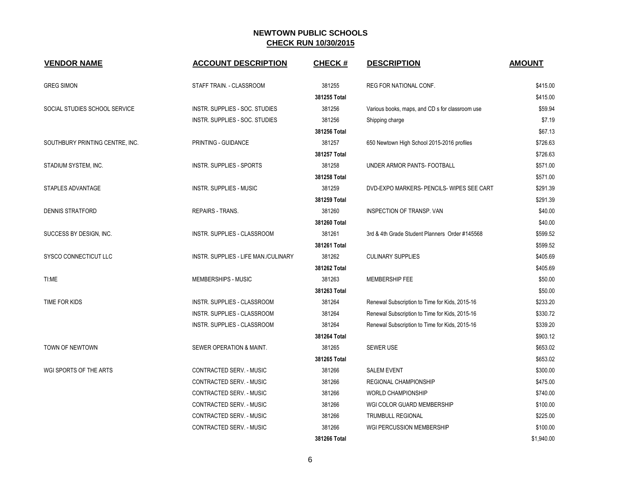| <b>VENDOR NAME</b>              | <b>ACCOUNT DESCRIPTION</b>           | <b>CHECK#</b> | <b>DESCRIPTION</b>                              | <b>AMOUNT</b> |
|---------------------------------|--------------------------------------|---------------|-------------------------------------------------|---------------|
| <b>GREG SIMON</b>               | STAFF TRAIN. - CLASSROOM             | 381255        | <b>REG FOR NATIONAL CONF.</b>                   | \$415.00      |
|                                 |                                      | 381255 Total  |                                                 | \$415.00      |
| SOCIAL STUDIES SCHOOL SERVICE   | INSTR. SUPPLIES - SOC. STUDIES       | 381256        | Various books, maps, and CD s for classroom use | \$59.94       |
|                                 | INSTR. SUPPLIES - SOC. STUDIES       | 381256        | Shipping charge                                 | \$7.19        |
|                                 |                                      | 381256 Total  |                                                 | \$67.13       |
| SOUTHBURY PRINTING CENTRE, INC. | PRINTING - GUIDANCE                  | 381257        | 650 Newtown High School 2015-2016 profiles      | \$726.63      |
|                                 |                                      | 381257 Total  |                                                 | \$726.63      |
| STADIUM SYSTEM, INC.            | INSTR. SUPPLIES - SPORTS             | 381258        | UNDER ARMOR PANTS- FOOTBALL                     | \$571.00      |
|                                 |                                      | 381258 Total  |                                                 | \$571.00      |
| STAPLES ADVANTAGE               | <b>INSTR. SUPPLIES - MUSIC</b>       | 381259        | DVD-EXPO MARKERS- PENCILS- WIPES SEE CART       | \$291.39      |
|                                 |                                      | 381259 Total  |                                                 | \$291.39      |
| <b>DENNIS STRATFORD</b>         | <b>REPAIRS - TRANS.</b>              | 381260        | <b>INSPECTION OF TRANSP, VAN</b>                | \$40.00       |
|                                 |                                      | 381260 Total  |                                                 | \$40.00       |
| SUCCESS BY DESIGN, INC.         | INSTR. SUPPLIES - CLASSROOM          | 381261        | 3rd & 4th Grade Student Planners Order #145568  | \$599.52      |
|                                 |                                      | 381261 Total  |                                                 | \$599.52      |
| SYSCO CONNECTICUT LLC           | INSTR. SUPPLIES - LIFE MAN./CULINARY | 381262        | <b>CULINARY SUPPLIES</b>                        | \$405.69      |
|                                 |                                      | 381262 Total  |                                                 | \$405.69      |
| TI:ME                           | MEMBERSHIPS - MUSIC                  | 381263        | MEMBERSHIP FEE                                  | \$50.00       |
|                                 |                                      | 381263 Total  |                                                 | \$50.00       |
| TIME FOR KIDS                   | INSTR. SUPPLIES - CLASSROOM          | 381264        | Renewal Subscription to Time for Kids, 2015-16  | \$233.20      |
|                                 | INSTR. SUPPLIES - CLASSROOM          | 381264        | Renewal Subscription to Time for Kids, 2015-16  | \$330.72      |
|                                 | INSTR. SUPPLIES - CLASSROOM          | 381264        | Renewal Subscription to Time for Kids, 2015-16  | \$339.20      |
|                                 |                                      | 381264 Total  |                                                 | \$903.12      |
| TOWN OF NEWTOWN                 | SEWER OPERATION & MAINT.             | 381265        | <b>SEWER USE</b>                                | \$653.02      |
|                                 |                                      | 381265 Total  |                                                 | \$653.02      |
| WGI SPORTS OF THE ARTS          | CONTRACTED SERV. - MUSIC             | 381266        | <b>SALEM EVENT</b>                              | \$300.00      |
|                                 | CONTRACTED SERV. - MUSIC             | 381266        | REGIONAL CHAMPIONSHIP                           | \$475.00      |
|                                 | CONTRACTED SERV. - MUSIC             | 381266        | <b>WORLD CHAMPIONSHIP</b>                       | \$740.00      |
|                                 | CONTRACTED SERV. - MUSIC             | 381266        | WGI COLOR GUARD MEMBERSHIP                      | \$100.00      |
|                                 | CONTRACTED SERV. - MUSIC             | 381266        | <b>TRUMBULL REGIONAL</b>                        | \$225.00      |
|                                 | CONTRACTED SERV. - MUSIC             | 381266        | WGI PERCUSSION MEMBERSHIP                       | \$100.00      |
|                                 |                                      | 381266 Total  |                                                 | \$1,940.00    |